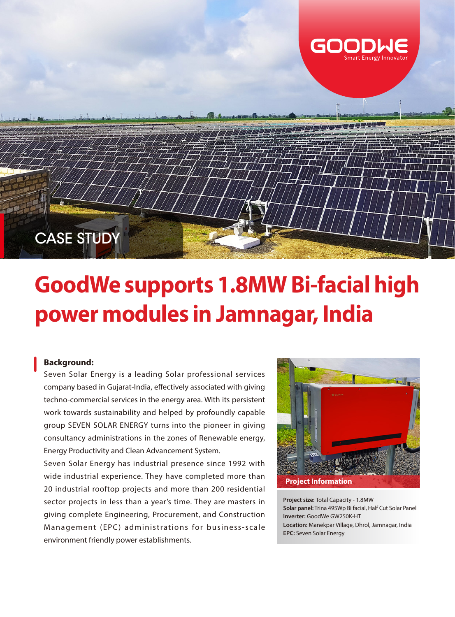

## **GoodWe supports 1.8MW Bi-facial high power modules in Jamnagar, India**

## **Background:**

Seven Solar Energy is a leading Solar professional services company based in Gujarat-India, effectively associated with giving techno-commercial services in the energy area. With its persistent work towards sustainability and helped by profoundly capable group SEVEN SOLAR ENERGY turns into the pioneer in giving consultancy administrations in the zones of Renewable energy, Energy Productivity and Clean Advancement System.

Seven Solar Energy has industrial presence since 1992 with wide industrial experience. They have completed more than 20 industrial rooftop projects and more than 200 residential sector projects in less than a year's time. They are masters in giving complete Engineering, Procurement, and Construction Management (EPC) administrations for business-scale environment friendly power establishments.



**Project size:** Total Capacity - 1.8MW **Solar panel:** Trina 495Wp Bi facial, Half Cut Solar Panel **Inverter:** GoodWe GW250K-HT **Location:** Manekpar Village, Dhrol, Jamnagar, India **EPC:** Seven Solar Energy